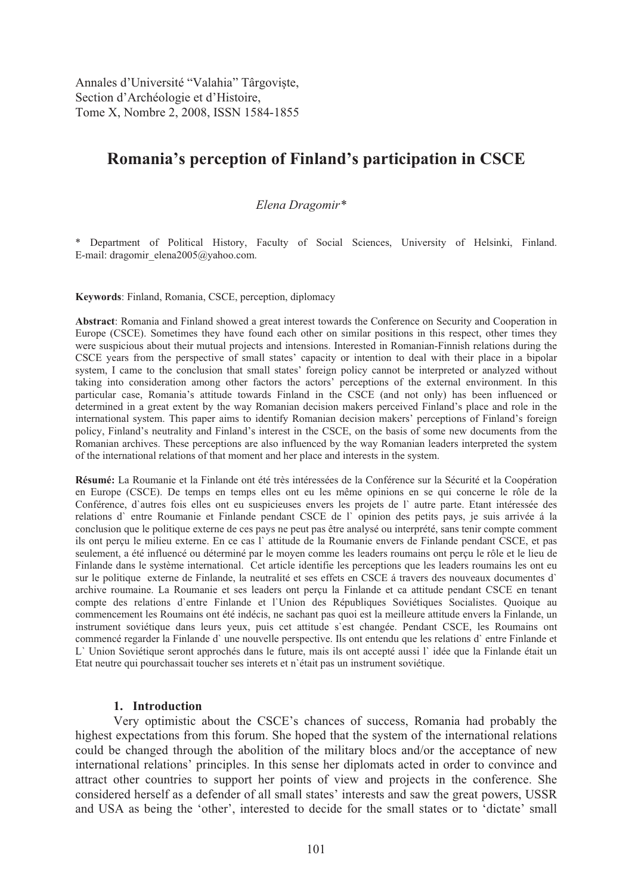Annales d'Université "Valahia" Târgoviște, Section d'Archéologie et d'Histoire, Tome X, Nombre 2, 2008, ISSN 1584-1855

# **Romania's perception of Finland's participation in CSCE**

#### *Elena Dragomir\**

\* Department of Political History, Faculty of Social Sciences, University of Helsinki, Finland. E-mail: dragomir\_elena2005@yahoo.com.

**Keywords**: Finland, Romania, CSCE, perception, diplomacy

**Abstract**: Romania and Finland showed a great interest towards the Conference on Security and Cooperation in Europe (CSCE). Sometimes they have found each other on similar positions in this respect, other times they were suspicious about their mutual projects and intensions. Interested in Romanian-Finnish relations during the CSCE years from the perspective of small states' capacity or intention to deal with their place in a bipolar system, I came to the conclusion that small states' foreign policy cannot be interpreted or analyzed without taking into consideration among other factors the actors' perceptions of the external environment. In this particular case, Romania's attitude towards Finland in the CSCE (and not only) has been influenced or determined in a great extent by the way Romanian decision makers perceived Finland's place and role in the international system. This paper aims to identify Romanian decision makers' perceptions of Finland's foreign policy, Finland's neutrality and Finland's interest in the CSCE, on the basis of some new documents from the Romanian archives. These perceptions are also influenced by the way Romanian leaders interpreted the system of the international relations of that moment and her place and interests in the system.

**Résumé:** La Roumanie et la Finlande ont été très intéressées de la Conférence sur la Sécurité et la Coopération en Europe (CSCE). De temps en temps elles ont eu les même opinions en se qui concerne le rôle de la Conférence, d`autres fois elles ont eu suspicieuses envers les projets de l` autre parte. Etant intéressée des relations d` entre Roumanie et Finlande pendant CSCE de l` opinion des petits pays, je suis arrivée á la conclusion que le politique externe de ces pays ne peut pas être analysé ou interprété, sans tenir compte comment ils ont perçu le milieu externe. En ce cas l` attitude de la Roumanie envers de Finlande pendant CSCE, et pas seulement, a été influencé ou déterminé par le moyen comme les leaders roumains ont perçu le rôle et le lieu de Finlande dans le système international. Cet article identifie les perceptions que les leaders roumains les ont eu sur le politique externe de Finlande, la neutralité et ses effets en CSCE á travers des nouveaux documentes d` archive roumaine. La Roumanie et ses leaders ont perçu la Finlande et ca attitude pendant CSCE en tenant compte des relations d`entre Finlande et l`Union des Républiques Soviétiques Socialistes. Quoique au commencement les Roumains ont été indécis, ne sachant pas quoi est la meilleure attitude envers la Finlande, un instrument soviétique dans leurs yeux, puis cet attitude s`est changée. Pendant CSCE, les Roumains ont commencé regarder la Finlande d` une nouvelle perspective. Ils ont entendu que les relations d` entre Finlande et L` Union Soviétique seront approchés dans le future, mais ils ont accepté aussi l` idée que la Finlande était un Etat neutre qui pourchassait toucher ses interets et n`était pas un instrument soviétique.

#### **1. Introduction**

Very optimistic about the CSCE's chances of success, Romania had probably the highest expectations from this forum. She hoped that the system of the international relations could be changed through the abolition of the military blocs and/or the acceptance of new international relations' principles. In this sense her diplomats acted in order to convince and attract other countries to support her points of view and projects in the conference. She considered herself as a defender of all small states' interests and saw the great powers, USSR and USA as being the 'other', interested to decide for the small states or to 'dictate' small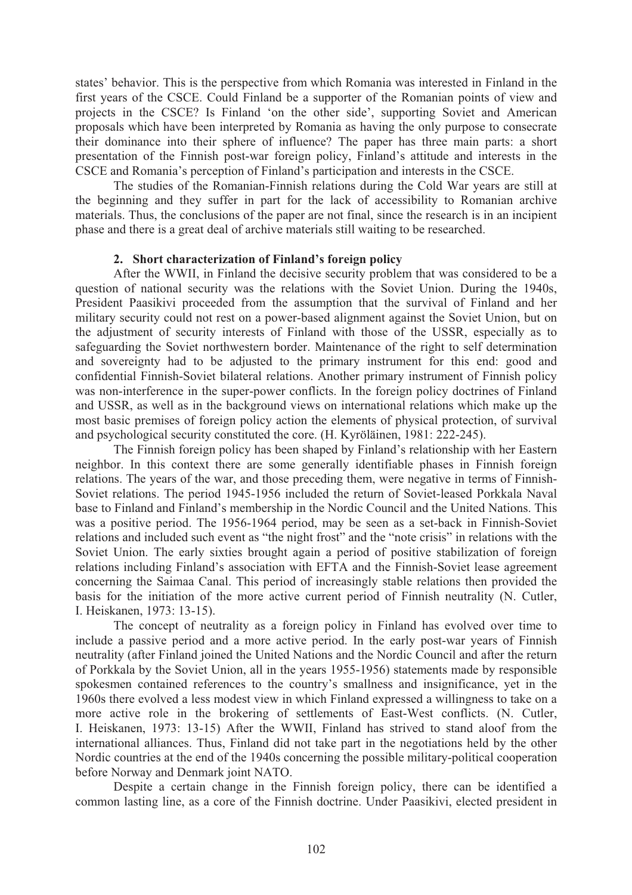states' behavior. This is the perspective from which Romania was interested in Finland in the first years of the CSCE. Could Finland be a supporter of the Romanian points of view and projects in the CSCE? Is Finland 'on the other side', supporting Soviet and American proposals which have been interpreted by Romania as having the only purpose to consecrate their dominance into their sphere of influence? The paper has three main parts: a short presentation of the Finnish post-war foreign policy, Finland's attitude and interests in the CSCE and Romania's perception of Finland's participation and interests in the CSCE.

 The studies of the Romanian-Finnish relations during the Cold War years are still at the beginning and they suffer in part for the lack of accessibility to Romanian archive materials. Thus, the conclusions of the paper are not final, since the research is in an incipient phase and there is a great deal of archive materials still waiting to be researched.

#### **2. Short characterization of Finland's foreign policy**

After the WWII, in Finland the decisive security problem that was considered to be a question of national security was the relations with the Soviet Union. During the 1940s, President Paasikivi proceeded from the assumption that the survival of Finland and her military security could not rest on a power-based alignment against the Soviet Union, but on the adjustment of security interests of Finland with those of the USSR, especially as to safeguarding the Soviet northwestern border. Maintenance of the right to self determination and sovereignty had to be adjusted to the primary instrument for this end: good and confidential Finnish-Soviet bilateral relations. Another primary instrument of Finnish policy was non-interference in the super-power conflicts. In the foreign policy doctrines of Finland and USSR, as well as in the background views on international relations which make up the most basic premises of foreign policy action the elements of physical protection, of survival and psychological security constituted the core. (H. Kyröläinen, 1981: 222-245).

 The Finnish foreign policy has been shaped by Finland's relationship with her Eastern neighbor. In this context there are some generally identifiable phases in Finnish foreign relations. The years of the war, and those preceding them, were negative in terms of Finnish-Soviet relations. The period 1945-1956 included the return of Soviet-leased Porkkala Naval base to Finland and Finland's membership in the Nordic Council and the United Nations. This was a positive period. The 1956-1964 period, may be seen as a set-back in Finnish-Soviet relations and included such event as "the night frost" and the "note crisis" in relations with the Soviet Union. The early sixties brought again a period of positive stabilization of foreign relations including Finland's association with EFTA and the Finnish-Soviet lease agreement concerning the Saimaa Canal. This period of increasingly stable relations then provided the basis for the initiation of the more active current period of Finnish neutrality (N. Cutler, I. Heiskanen, 1973: 13-15).

The concept of neutrality as a foreign policy in Finland has evolved over time to include a passive period and a more active period. In the early post-war years of Finnish neutrality (after Finland joined the United Nations and the Nordic Council and after the return of Porkkala by the Soviet Union, all in the years 1955-1956) statements made by responsible spokesmen contained references to the country's smallness and insignificance, yet in the 1960s there evolved a less modest view in which Finland expressed a willingness to take on a more active role in the brokering of settlements of East-West conflicts. (N. Cutler, I. Heiskanen, 1973: 13-15) After the WWII, Finland has strived to stand aloof from the international alliances. Thus, Finland did not take part in the negotiations held by the other Nordic countries at the end of the 1940s concerning the possible military-political cooperation before Norway and Denmark joint NATO.

Despite a certain change in the Finnish foreign policy, there can be identified a common lasting line, as a core of the Finnish doctrine. Under Paasikivi, elected president in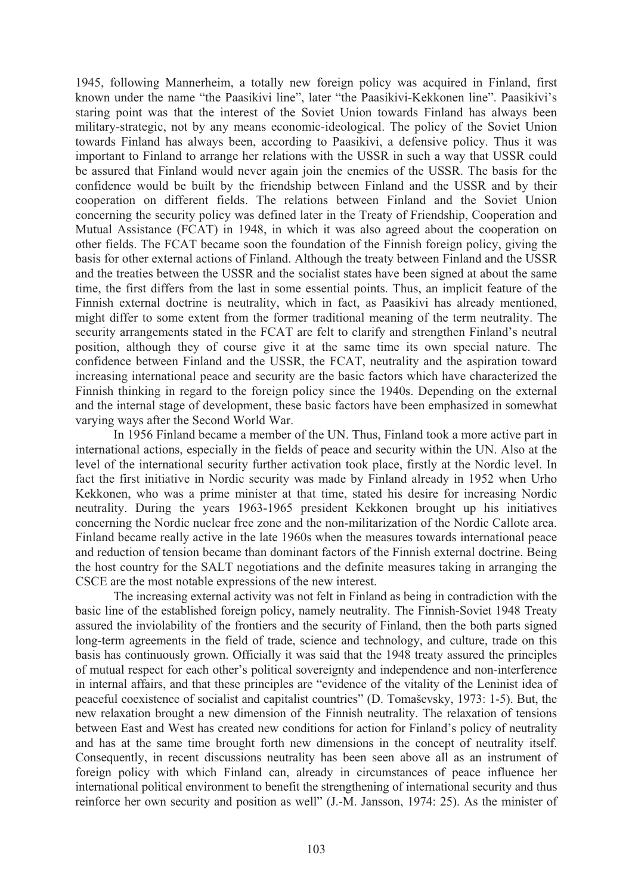1945, following Mannerheim, a totally new foreign policy was acquired in Finland, first known under the name "the Paasikivi line", later "the Paasikivi-Kekkonen line". Paasikivi's staring point was that the interest of the Soviet Union towards Finland has always been military-strategic, not by any means economic-ideological. The policy of the Soviet Union towards Finland has always been, according to Paasikivi, a defensive policy. Thus it was important to Finland to arrange her relations with the USSR in such a way that USSR could be assured that Finland would never again join the enemies of the USSR. The basis for the confidence would be built by the friendship between Finland and the USSR and by their cooperation on different fields. The relations between Finland and the Soviet Union concerning the security policy was defined later in the Treaty of Friendship, Cooperation and Mutual Assistance (FCAT) in 1948, in which it was also agreed about the cooperation on other fields. The FCAT became soon the foundation of the Finnish foreign policy, giving the basis for other external actions of Finland. Although the treaty between Finland and the USSR and the treaties between the USSR and the socialist states have been signed at about the same time, the first differs from the last in some essential points. Thus, an implicit feature of the Finnish external doctrine is neutrality, which in fact, as Paasikivi has already mentioned, might differ to some extent from the former traditional meaning of the term neutrality. The security arrangements stated in the FCAT are felt to clarify and strengthen Finland's neutral position, although they of course give it at the same time its own special nature. The confidence between Finland and the USSR, the FCAT, neutrality and the aspiration toward increasing international peace and security are the basic factors which have characterized the Finnish thinking in regard to the foreign policy since the 1940s. Depending on the external and the internal stage of development, these basic factors have been emphasized in somewhat varying ways after the Second World War.

In 1956 Finland became a member of the UN. Thus, Finland took a more active part in international actions, especially in the fields of peace and security within the UN. Also at the level of the international security further activation took place, firstly at the Nordic level. In fact the first initiative in Nordic security was made by Finland already in 1952 when Urho Kekkonen, who was a prime minister at that time, stated his desire for increasing Nordic neutrality. During the years 1963-1965 president Kekkonen brought up his initiatives concerning the Nordic nuclear free zone and the non-militarization of the Nordic Callote area. Finland became really active in the late 1960s when the measures towards international peace and reduction of tension became than dominant factors of the Finnish external doctrine. Being the host country for the SALT negotiations and the definite measures taking in arranging the CSCE are the most notable expressions of the new interest.

 The increasing external activity was not felt in Finland as being in contradiction with the basic line of the established foreign policy, namely neutrality. The Finnish-Soviet 1948 Treaty assured the inviolability of the frontiers and the security of Finland, then the both parts signed long-term agreements in the field of trade, science and technology, and culture, trade on this basis has continuously grown. Officially it was said that the 1948 treaty assured the principles of mutual respect for each other's political sovereignty and independence and non-interference in internal affairs, and that these principles are "evidence of the vitality of the Leninist idea of peaceful coexistence of socialist and capitalist countries" (D. Tomaševsky, 1973: 1-5). But, the new relaxation brought a new dimension of the Finnish neutrality. The relaxation of tensions between East and West has created new conditions for action for Finland's policy of neutrality and has at the same time brought forth new dimensions in the concept of neutrality itself. Consequently, in recent discussions neutrality has been seen above all as an instrument of foreign policy with which Finland can, already in circumstances of peace influence her international political environment to benefit the strengthening of international security and thus reinforce her own security and position as well" (J.-M. Jansson, 1974: 25). As the minister of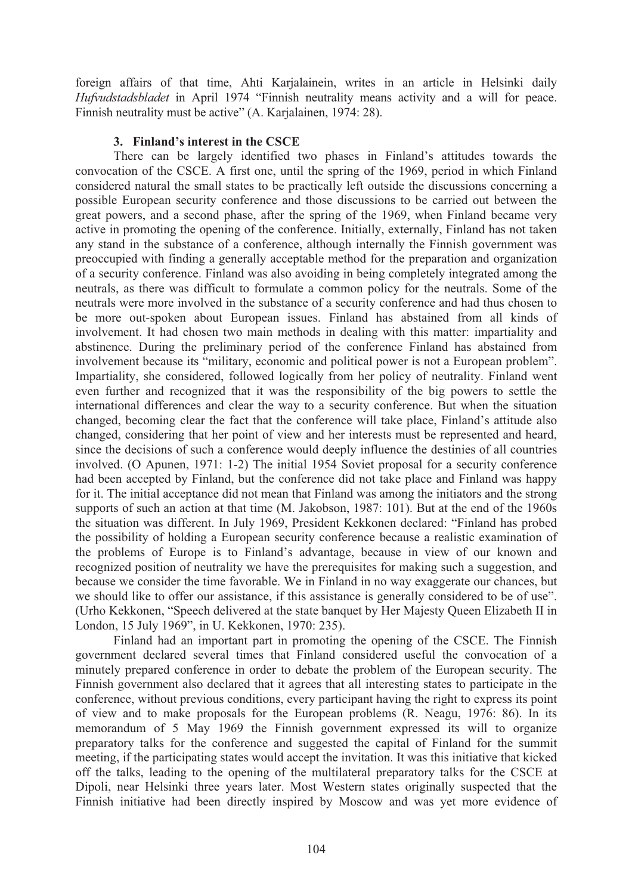foreign affairs of that time, Ahti Karjalainein, writes in an article in Helsinki daily *Hufvudstadsbladet* in April 1974 "Finnish neutrality means activity and a will for peace. Finnish neutrality must be active" (A. Karjalainen, 1974: 28).

### **3. Finland's interest in the CSCE**

There can be largely identified two phases in Finland's attitudes towards the convocation of the CSCE. A first one, until the spring of the 1969, period in which Finland considered natural the small states to be practically left outside the discussions concerning a possible European security conference and those discussions to be carried out between the great powers, and a second phase, after the spring of the 1969, when Finland became very active in promoting the opening of the conference. Initially, externally, Finland has not taken any stand in the substance of a conference, although internally the Finnish government was preoccupied with finding a generally acceptable method for the preparation and organization of a security conference. Finland was also avoiding in being completely integrated among the neutrals, as there was difficult to formulate a common policy for the neutrals. Some of the neutrals were more involved in the substance of a security conference and had thus chosen to be more out-spoken about European issues. Finland has abstained from all kinds of involvement. It had chosen two main methods in dealing with this matter: impartiality and abstinence. During the preliminary period of the conference Finland has abstained from involvement because its "military, economic and political power is not a European problem". Impartiality, she considered, followed logically from her policy of neutrality. Finland went even further and recognized that it was the responsibility of the big powers to settle the international differences and clear the way to a security conference. But when the situation changed, becoming clear the fact that the conference will take place, Finland's attitude also changed, considering that her point of view and her interests must be represented and heard, since the decisions of such a conference would deeply influence the destinies of all countries involved. (O Apunen, 1971: 1-2) The initial 1954 Soviet proposal for a security conference had been accepted by Finland, but the conference did not take place and Finland was happy for it. The initial acceptance did not mean that Finland was among the initiators and the strong supports of such an action at that time (M. Jakobson, 1987: 101). But at the end of the 1960s the situation was different. In July 1969, President Kekkonen declared: "Finland has probed the possibility of holding a European security conference because a realistic examination of the problems of Europe is to Finland's advantage, because in view of our known and recognized position of neutrality we have the prerequisites for making such a suggestion, and because we consider the time favorable. We in Finland in no way exaggerate our chances, but we should like to offer our assistance, if this assistance is generally considered to be of use". (Urho Kekkonen, "Speech delivered at the state banquet by Her Majesty Queen Elizabeth II in London, 15 July 1969", in U. Kekkonen, 1970: 235).

 Finland had an important part in promoting the opening of the CSCE. The Finnish government declared several times that Finland considered useful the convocation of a minutely prepared conference in order to debate the problem of the European security. The Finnish government also declared that it agrees that all interesting states to participate in the conference, without previous conditions, every participant having the right to express its point of view and to make proposals for the European problems (R. Neagu, 1976: 86). In its memorandum of 5 May 1969 the Finnish government expressed its will to organize preparatory talks for the conference and suggested the capital of Finland for the summit meeting, if the participating states would accept the invitation. It was this initiative that kicked off the talks, leading to the opening of the multilateral preparatory talks for the CSCE at Dipoli, near Helsinki three years later. Most Western states originally suspected that the Finnish initiative had been directly inspired by Moscow and was yet more evidence of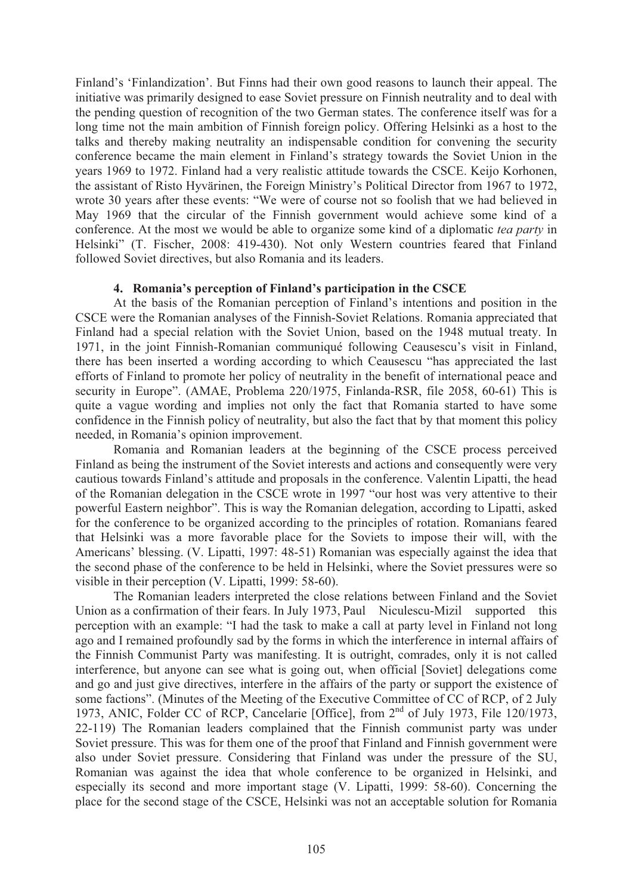Finland's 'Finlandization'. But Finns had their own good reasons to launch their appeal. The initiative was primarily designed to ease Soviet pressure on Finnish neutrality and to deal with the pending question of recognition of the two German states. The conference itself was for a long time not the main ambition of Finnish foreign policy. Offering Helsinki as a host to the talks and thereby making neutrality an indispensable condition for convening the security conference became the main element in Finland's strategy towards the Soviet Union in the years 1969 to 1972. Finland had a very realistic attitude towards the CSCE. Keijo Korhonen, the assistant of Risto Hyvärinen, the Foreign Ministry's Political Director from 1967 to 1972, wrote 30 years after these events: "We were of course not so foolish that we had believed in May 1969 that the circular of the Finnish government would achieve some kind of a conference. At the most we would be able to organize some kind of a diplomatic *tea party* in Helsinki" (T. Fischer, 2008: 419-430). Not only Western countries feared that Finland followed Soviet directives, but also Romania and its leaders.

#### **4. Romania's perception of Finland's participation in the CSCE**

At the basis of the Romanian perception of Finland's intentions and position in the CSCE were the Romanian analyses of the Finnish-Soviet Relations. Romania appreciated that Finland had a special relation with the Soviet Union, based on the 1948 mutual treaty. In 1971, in the joint Finnish-Romanian communiqué following Ceausescu's visit in Finland, there has been inserted a wording according to which Ceausescu "has appreciated the last efforts of Finland to promote her policy of neutrality in the benefit of international peace and security in Europe". (AMAE, Problema 220/1975, Finlanda-RSR, file 2058, 60-61) This is quite a vague wording and implies not only the fact that Romania started to have some confidence in the Finnish policy of neutrality, but also the fact that by that moment this policy needed, in Romania's opinion improvement.

Romania and Romanian leaders at the beginning of the CSCE process perceived Finland as being the instrument of the Soviet interests and actions and consequently were very cautious towards Finland's attitude and proposals in the conference. Valentin Lipatti, the head of the Romanian delegation in the CSCE wrote in 1997 "our host was very attentive to their powerful Eastern neighbor". This is way the Romanian delegation, according to Lipatti, asked for the conference to be organized according to the principles of rotation. Romanians feared that Helsinki was a more favorable place for the Soviets to impose their will, with the Americans' blessing. (V. Lipatti, 1997: 48-51) Romanian was especially against the idea that the second phase of the conference to be held in Helsinki, where the Soviet pressures were so visible in their perception (V. Lipatti, 1999: 58-60).

The Romanian leaders interpreted the close relations between Finland and the Soviet Union as a confirmation of their fears. In July 1973, Paul Niculescu-Mizil supported this perception with an example: "I had the task to make a call at party level in Finland not long ago and I remained profoundly sad by the forms in which the interference in internal affairs of the Finnish Communist Party was manifesting. It is outright, comrades, only it is not called interference, but anyone can see what is going out, when official [Soviet] delegations come and go and just give directives, interfere in the affairs of the party or support the existence of some factions". (Minutes of the Meeting of the Executive Committee of CC of RCP, of 2 July 1973, ANIC, Folder CC of RCP, Cancelarie [Office], from 2<sup>nd</sup> of July 1973, File 120/1973, 22-119) The Romanian leaders complained that the Finnish communist party was under Soviet pressure. This was for them one of the proof that Finland and Finnish government were also under Soviet pressure. Considering that Finland was under the pressure of the SU, Romanian was against the idea that whole conference to be organized in Helsinki, and especially its second and more important stage (V. Lipatti, 1999: 58-60). Concerning the place for the second stage of the CSCE, Helsinki was not an acceptable solution for Romania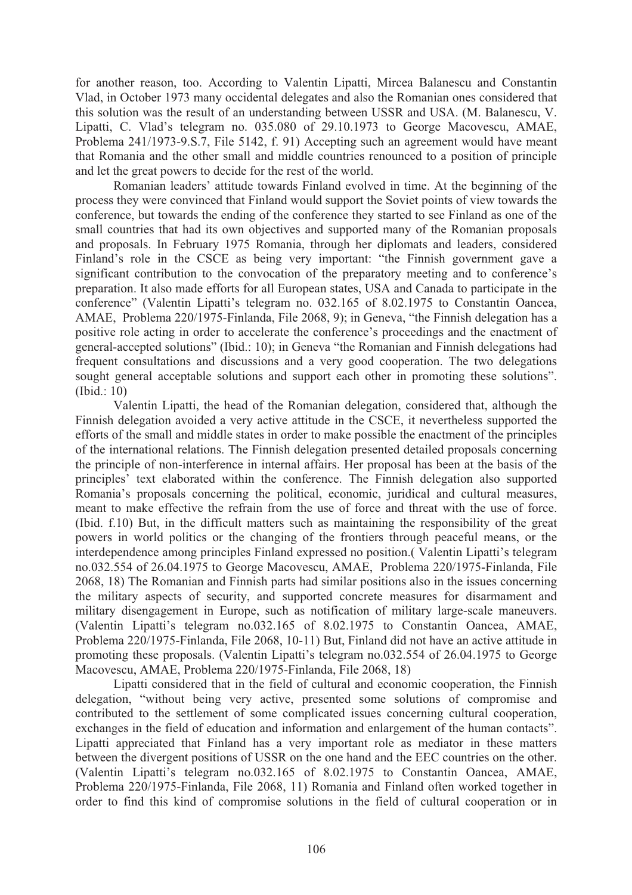for another reason, too. According to Valentin Lipatti, Mircea Balanescu and Constantin Vlad, in October 1973 many occidental delegates and also the Romanian ones considered that this solution was the result of an understanding between USSR and USA. (M. Balanescu, V. Lipatti, C. Vlad's telegram no. 035.080 of 29.10.1973 to George Macovescu, AMAE, Problema 241/1973-9.S.7, File 5142, f. 91) Accepting such an agreement would have meant that Romania and the other small and middle countries renounced to a position of principle and let the great powers to decide for the rest of the world.

Romanian leaders' attitude towards Finland evolved in time. At the beginning of the process they were convinced that Finland would support the Soviet points of view towards the conference, but towards the ending of the conference they started to see Finland as one of the small countries that had its own objectives and supported many of the Romanian proposals and proposals. In February 1975 Romania, through her diplomats and leaders, considered Finland's role in the CSCE as being very important: "the Finnish government gave a significant contribution to the convocation of the preparatory meeting and to conference's preparation. It also made efforts for all European states, USA and Canada to participate in the conference" (Valentin Lipatti's telegram no. 032.165 of 8.02.1975 to Constantin Oancea, AMAE, Problema 220/1975-Finlanda, File 2068, 9); in Geneva, "the Finnish delegation has a positive role acting in order to accelerate the conference's proceedings and the enactment of general-accepted solutions" (Ibid.: 10); in Geneva "the Romanian and Finnish delegations had frequent consultations and discussions and a very good cooperation. The two delegations sought general acceptable solutions and support each other in promoting these solutions". (Ibid.: 10)

 Valentin Lipatti, the head of the Romanian delegation, considered that, although the Finnish delegation avoided a very active attitude in the CSCE, it nevertheless supported the efforts of the small and middle states in order to make possible the enactment of the principles of the international relations. The Finnish delegation presented detailed proposals concerning the principle of non-interference in internal affairs. Her proposal has been at the basis of the principles' text elaborated within the conference. The Finnish delegation also supported Romania's proposals concerning the political, economic, juridical and cultural measures, meant to make effective the refrain from the use of force and threat with the use of force. (Ibid. f.10) But, in the difficult matters such as maintaining the responsibility of the great powers in world politics or the changing of the frontiers through peaceful means, or the interdependence among principles Finland expressed no position.( Valentin Lipatti's telegram no.032.554 of 26.04.1975 to George Macovescu, AMAE, Problema 220/1975-Finlanda, File 2068, 18) The Romanian and Finnish parts had similar positions also in the issues concerning the military aspects of security, and supported concrete measures for disarmament and military disengagement in Europe, such as notification of military large-scale maneuvers. (Valentin Lipatti's telegram no.032.165 of 8.02.1975 to Constantin Oancea, AMAE, Problema 220/1975-Finlanda, File 2068, 10-11) But, Finland did not have an active attitude in promoting these proposals. (Valentin Lipatti's telegram no.032.554 of 26.04.1975 to George Macovescu, AMAE, Problema 220/1975-Finlanda, File 2068, 18)

 Lipatti considered that in the field of cultural and economic cooperation, the Finnish delegation, "without being very active, presented some solutions of compromise and contributed to the settlement of some complicated issues concerning cultural cooperation, exchanges in the field of education and information and enlargement of the human contacts". Lipatti appreciated that Finland has a very important role as mediator in these matters between the divergent positions of USSR on the one hand and the EEC countries on the other. (Valentin Lipatti's telegram no.032.165 of 8.02.1975 to Constantin Oancea, AMAE, Problema 220/1975-Finlanda, File 2068, 11) Romania and Finland often worked together in order to find this kind of compromise solutions in the field of cultural cooperation or in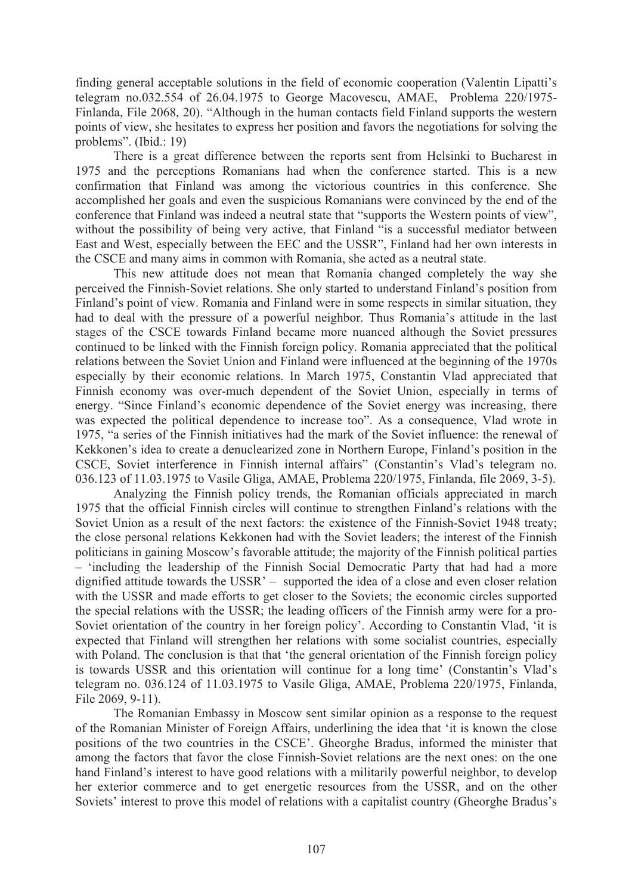finding general acceptable solutions in the field of economic cooperation (Valentin Lipatti's telegram no.032.554 of 26.04.1975 to George Macovescu, AMAE, Problema 220/1975- Finlanda, File 2068, 20). "Although in the human contacts field Finland supports the western points of view, she hesitates to express her position and favors the negotiations for solving the problems". (Ibid.: 19)

 There is a great difference between the reports sent from Helsinki to Bucharest in 1975 and the perceptions Romanians had when the conference started. This is a new confirmation that Finland was among the victorious countries in this conference. She accomplished her goals and even the suspicious Romanians were convinced by the end of the conference that Finland was indeed a neutral state that "supports the Western points of view", without the possibility of being very active, that Finland "is a successful mediator between East and West, especially between the EEC and the USSR", Finland had her own interests in the CSCE and many aims in common with Romania, she acted as a neutral state.

 This new attitude does not mean that Romania changed completely the way she perceived the Finnish-Soviet relations. She only started to understand Finland's position from Finland's point of view. Romania and Finland were in some respects in similar situation, they had to deal with the pressure of a powerful neighbor. Thus Romania's attitude in the last stages of the CSCE towards Finland became more nuanced although the Soviet pressures continued to be linked with the Finnish foreign policy. Romania appreciated that the political relations between the Soviet Union and Finland were influenced at the beginning of the 1970s especially by their economic relations. In March 1975, Constantin Vlad appreciated that Finnish economy was over-much dependent of the Soviet Union, especially in terms of energy. "Since Finland's economic dependence of the Soviet energy was increasing, there was expected the political dependence to increase too". As a consequence, Vlad wrote in 1975, "a series of the Finnish initiatives had the mark of the Soviet influence: the renewal of Kekkonen's idea to create a denuclearized zone in Northern Europe, Finland's position in the CSCE, Soviet interference in Finnish internal affairs" (Constantin's Vlad's telegram no. 036.123 of 11.03.1975 to Vasile Gliga, AMAE, Problema 220/1975, Finlanda, file 2069, 3-5).

 Analyzing the Finnish policy trends, the Romanian officials appreciated in march 1975 that the official Finnish circles will continue to strengthen Finland's relations with the Soviet Union as a result of the next factors: the existence of the Finnish-Soviet 1948 treaty; the close personal relations Kekkonen had with the Soviet leaders; the interest of the Finnish politicians in gaining Moscow's favorable attitude; the majority of the Finnish political parties – 'including the leadership of the Finnish Social Democratic Party that had had a more dignified attitude towards the USSR' – supported the idea of a close and even closer relation with the USSR and made efforts to get closer to the Soviets; the economic circles supported the special relations with the USSR; the leading officers of the Finnish army were for a pro-Soviet orientation of the country in her foreign policy'. According to Constantin Vlad, 'it is expected that Finland will strengthen her relations with some socialist countries, especially with Poland. The conclusion is that that 'the general orientation of the Finnish foreign policy is towards USSR and this orientation will continue for a long time' (Constantin's Vlad's telegram no. 036.124 of 11.03.1975 to Vasile Gliga, AMAE, Problema 220/1975, Finlanda, File 2069, 9-11).

 The Romanian Embassy in Moscow sent similar opinion as a response to the request of the Romanian Minister of Foreign Affairs, underlining the idea that 'it is known the close positions of the two countries in the CSCE'. Gheorghe Bradus, informed the minister that among the factors that favor the close Finnish-Soviet relations are the next ones: on the one hand Finland's interest to have good relations with a militarily powerful neighbor, to develop her exterior commerce and to get energetic resources from the USSR, and on the other Soviets' interest to prove this model of relations with a capitalist country (Gheorghe Bradus's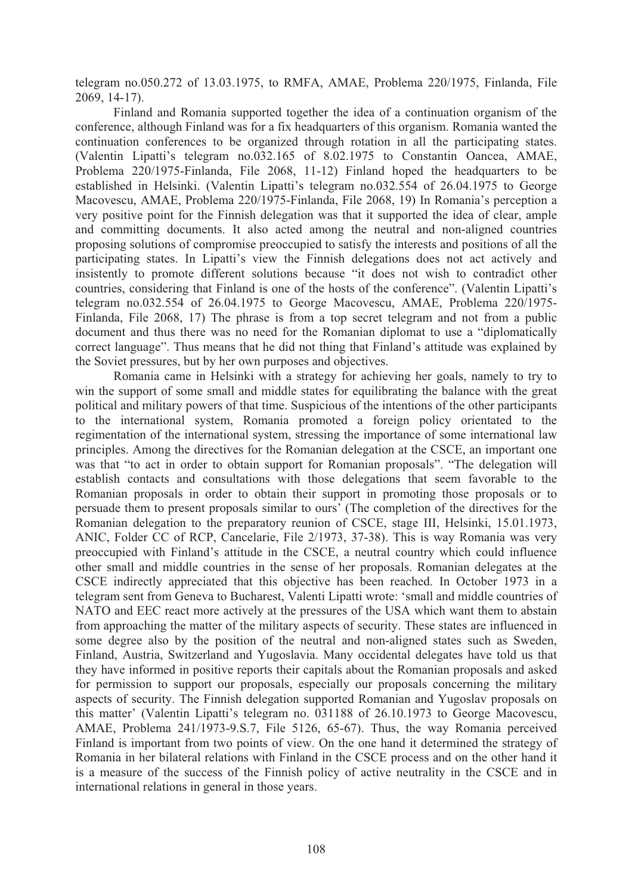telegram no.050.272 of 13.03.1975, to RMFA, AMAE, Problema 220/1975, Finlanda, File 2069, 14-17).

 Finland and Romania supported together the idea of a continuation organism of the conference, although Finland was for a fix headquarters of this organism. Romania wanted the continuation conferences to be organized through rotation in all the participating states. (Valentin Lipatti's telegram no.032.165 of 8.02.1975 to Constantin Oancea, AMAE, Problema 220/1975-Finlanda, File 2068, 11-12) Finland hoped the headquarters to be established in Helsinki. (Valentin Lipatti's telegram no.032.554 of 26.04.1975 to George Macovescu, AMAE, Problema 220/1975-Finlanda, File 2068, 19) In Romania's perception a very positive point for the Finnish delegation was that it supported the idea of clear, ample and committing documents. It also acted among the neutral and non-aligned countries proposing solutions of compromise preoccupied to satisfy the interests and positions of all the participating states. In Lipatti's view the Finnish delegations does not act actively and insistently to promote different solutions because "it does not wish to contradict other countries, considering that Finland is one of the hosts of the conference". (Valentin Lipatti's telegram no.032.554 of 26.04.1975 to George Macovescu, AMAE, Problema 220/1975- Finlanda, File 2068, 17) The phrase is from a top secret telegram and not from a public document and thus there was no need for the Romanian diplomat to use a "diplomatically correct language". Thus means that he did not thing that Finland's attitude was explained by the Soviet pressures, but by her own purposes and objectives.

 Romania came in Helsinki with a strategy for achieving her goals, namely to try to win the support of some small and middle states for equilibrating the balance with the great political and military powers of that time. Suspicious of the intentions of the other participants to the international system, Romania promoted a foreign policy orientated to the regimentation of the international system, stressing the importance of some international law principles. Among the directives for the Romanian delegation at the CSCE, an important one was that "to act in order to obtain support for Romanian proposals". "The delegation will establish contacts and consultations with those delegations that seem favorable to the Romanian proposals in order to obtain their support in promoting those proposals or to persuade them to present proposals similar to ours' (The completion of the directives for the Romanian delegation to the preparatory reunion of CSCE, stage III, Helsinki, 15.01.1973, ANIC, Folder CC of RCP, Cancelarie, File 2/1973, 37-38). This is way Romania was very preoccupied with Finland's attitude in the CSCE, a neutral country which could influence other small and middle countries in the sense of her proposals. Romanian delegates at the CSCE indirectly appreciated that this objective has been reached. In October 1973 in a telegram sent from Geneva to Bucharest, Valenti Lipatti wrote: 'small and middle countries of NATO and EEC react more actively at the pressures of the USA which want them to abstain from approaching the matter of the military aspects of security. These states are influenced in some degree also by the position of the neutral and non-aligned states such as Sweden, Finland, Austria, Switzerland and Yugoslavia. Many occidental delegates have told us that they have informed in positive reports their capitals about the Romanian proposals and asked for permission to support our proposals, especially our proposals concerning the military aspects of security. The Finnish delegation supported Romanian and Yugoslav proposals on this matter' (Valentin Lipatti's telegram no. 031188 of 26.10.1973 to George Macovescu, AMAE, Problema 241/1973-9.S.7, File 5126, 65-67). Thus, the way Romania perceived Finland is important from two points of view. On the one hand it determined the strategy of Romania in her bilateral relations with Finland in the CSCE process and on the other hand it is a measure of the success of the Finnish policy of active neutrality in the CSCE and in international relations in general in those years.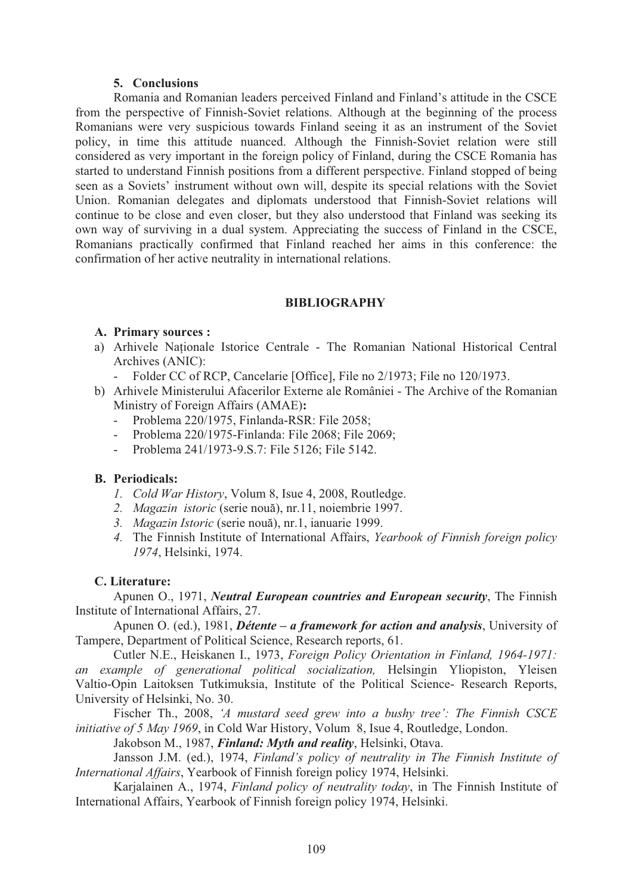### **5. Conclusions**

Romania and Romanian leaders perceived Finland and Finland's attitude in the CSCE from the perspective of Finnish-Soviet relations. Although at the beginning of the process Romanians were very suspicious towards Finland seeing it as an instrument of the Soviet policy, in time this attitude nuanced. Although the Finnish-Soviet relation were still considered as very important in the foreign policy of Finland, during the CSCE Romania has started to understand Finnish positions from a different perspective. Finland stopped of being seen as a Soviets' instrument without own will, despite its special relations with the Soviet Union. Romanian delegates and diplomats understood that Finnish-Soviet relations will continue to be close and even closer, but they also understood that Finland was seeking its own way of surviving in a dual system. Appreciating the success of Finland in the CSCE, Romanians practically confirmed that Finland reached her aims in this conference: the confirmation of her active neutrality in international relations.

## **BIBLIOGRAPHY**

# **A. Primary sources :**

- a) Arhivele Naționale Istorice Centrale The Romanian National Historical Central Archives (ANIC):
	- Folder CC of RCP, Cancelarie [Office], File no 2/1973; File no 120/1973.
- b) Arhivele Ministerului Afacerilor Externe ale României The Archive of the Romanian Ministry of Foreign Affairs (AMAE)**:**
	- Problema 220/1975, Finlanda-RSR: File 2058;
	- Problema 220/1975-Finlanda: File 2068; File 2069;
	- Problema 241/1973-9.S.7: File 5126; File 5142.

# **B. Periodicals:**

- *1. Cold War History*, Volum 8, Isue 4, 2008, Routledge.
- 2. Magazin istoric (serie nouă), nr.11, noiembrie 1997.
- 3. Magazin Istoric (serie nouă), nr.1, ianuarie 1999.
- *4.* The Finnish Institute of International Affairs, *Yearbook of Finnish foreign policy 1974*, Helsinki, 1974.

# **C. Literature:**

Apunen O., 1971, *Neutral European countries and European security*, The Finnish Institute of International Affairs, 27.

Apunen O. (ed.), 1981, *Détente – a framework for action and analysis*, University of Tampere, Department of Political Science, Research reports, 61.

Cutler N.E., Heiskanen I., 1973, *Foreign Policy Orientation in Finland, 1964-1971: an example of generational political socialization,* Helsingin Yliopiston, Yleisen Valtio-Opin Laitoksen Tutkimuksia, Institute of the Political Science- Research Reports, University of Helsinki, No. 30.

Fischer Th., 2008, *'A mustard seed grew into a bushy tree': The Finnish CSCE initiative of 5 May 1969*, in Cold War History, Volum 8, Isue 4, Routledge, London.

Jakobson M., 1987, *Finland: Myth and reality*, Helsinki, Otava.

Jansson J.M. (ed.), 1974, *Finland's policy of neutrality in The Finnish Institute of International Affairs*, Yearbook of Finnish foreign policy 1974, Helsinki.

Karjalainen A., 1974, *Finland policy of neutrality today*, in The Finnish Institute of International Affairs, Yearbook of Finnish foreign policy 1974, Helsinki.